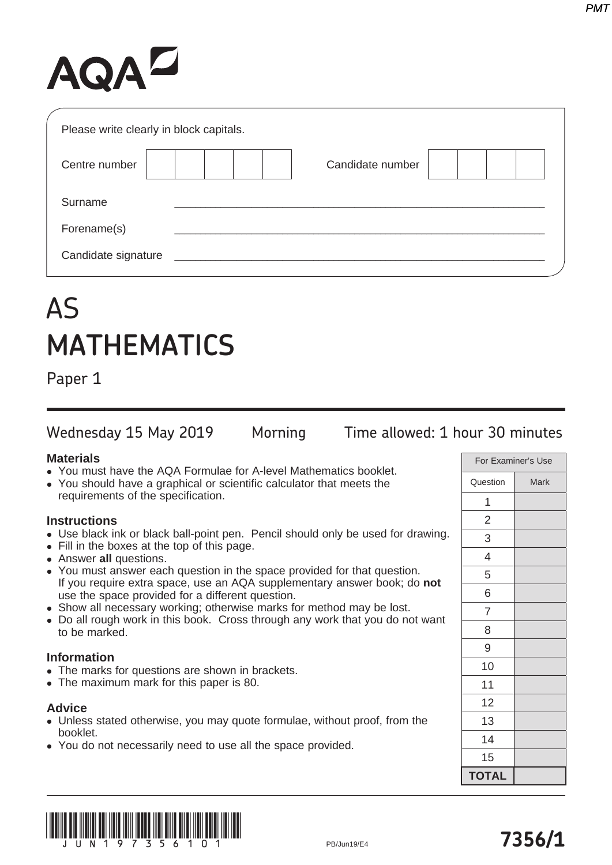# AQAZ

| Please write clearly in block capitals. |                  |  |
|-----------------------------------------|------------------|--|
| Centre number                           | Candidate number |  |
| Surname                                 |                  |  |
| Forename(s)                             |                  |  |
| Candidate signature                     |                  |  |

# AS **MATHEMATICS**

Paper 1

Wednesday 15 May 2019 Morning Time allowed: 1 hour 30 minutes

## **Materials**

- You must have the AQA Formulae for A-level Mathematics booklet.
- You should have a graphical or scientific calculator that meets the requirements of the specification.

## **Instructions**

- Use black ink or black ball-point pen. Pencil should only be used for drawing.
- Fill in the boxes at the top of this page.
- **Answer all questions.**
- You must answer each question in the space provided for that question. If you require extra space, use an AQA supplementary answer book; do **not** use the space provided for a different question.
- Show all necessary working; otherwise marks for method may be lost.
- Do all rough work in this book. Cross through any work that you do not want to be marked.

#### **Information**

- The marks for questions are shown in brackets.
- The maximum mark for this paper is 80.

#### **Advice**

- Unless stated otherwise, you may quote formulae, without proof, from the booklet.
- You do not necessarily need to use all the space provided.

| For Examiner's Use |             |
|--------------------|-------------|
| Question           | <b>Mark</b> |
| 1                  |             |
| $\overline{c}$     |             |
| 3                  |             |
| 4                  |             |
| 5                  |             |
| 6                  |             |
| 7                  |             |
| 8                  |             |
| 9                  |             |
| 10                 |             |
| 11                 |             |
| 12                 |             |
| 13                 |             |
| 14                 |             |
| 15                 |             |
| <b>TOTAL</b>       |             |

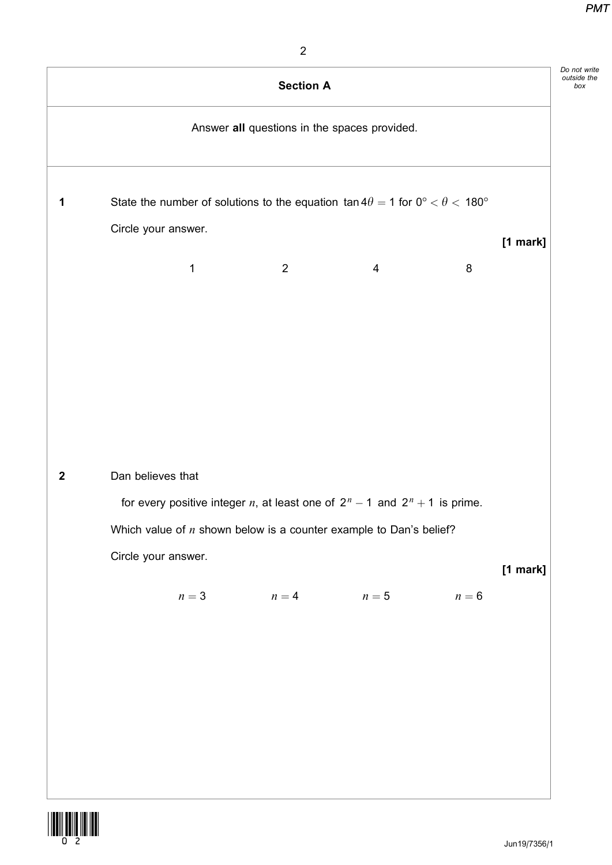|                  |                                                                                                         | <b>Section A</b>                             |                |        | Do not write |
|------------------|---------------------------------------------------------------------------------------------------------|----------------------------------------------|----------------|--------|--------------|
|                  |                                                                                                         | Answer all questions in the spaces provided. |                |        |              |
| 1                | State the number of solutions to the equation $\tan 4\theta = 1$ for $0^{\circ} < \theta < 180^{\circ}$ |                                              |                |        |              |
|                  | Circle your answer.                                                                                     |                                              |                |        | $[1$ mark]   |
|                  | 1                                                                                                       | $\overline{2}$                               | $\overline{4}$ | $\, 8$ |              |
|                  |                                                                                                         |                                              |                |        |              |
|                  |                                                                                                         |                                              |                |        |              |
|                  |                                                                                                         |                                              |                |        |              |
|                  |                                                                                                         |                                              |                |        |              |
|                  |                                                                                                         |                                              |                |        |              |
| $\boldsymbol{2}$ | Dan believes that                                                                                       |                                              |                |        |              |
|                  | for every positive integer <i>n</i> , at least one of $2^n - 1$ and $2^n + 1$ is prime.                 |                                              |                |        |              |
|                  | Which value of $n$ shown below is a counter example to Dan's belief?                                    |                                              |                |        |              |
|                  | Circle your answer.                                                                                     |                                              |                |        | $[1$ mark]   |
|                  | $n=3$                                                                                                   | $n=4$                                        | $n=5$          | $n=6$  |              |
|                  |                                                                                                         |                                              |                |        |              |
|                  |                                                                                                         |                                              |                |        |              |
|                  |                                                                                                         |                                              |                |        |              |
|                  |                                                                                                         |                                              |                |        |              |
|                  |                                                                                                         |                                              |                |        |              |
|                  |                                                                                                         |                                              |                |        |              |
|                  |                                                                                                         |                                              |                |        |              |

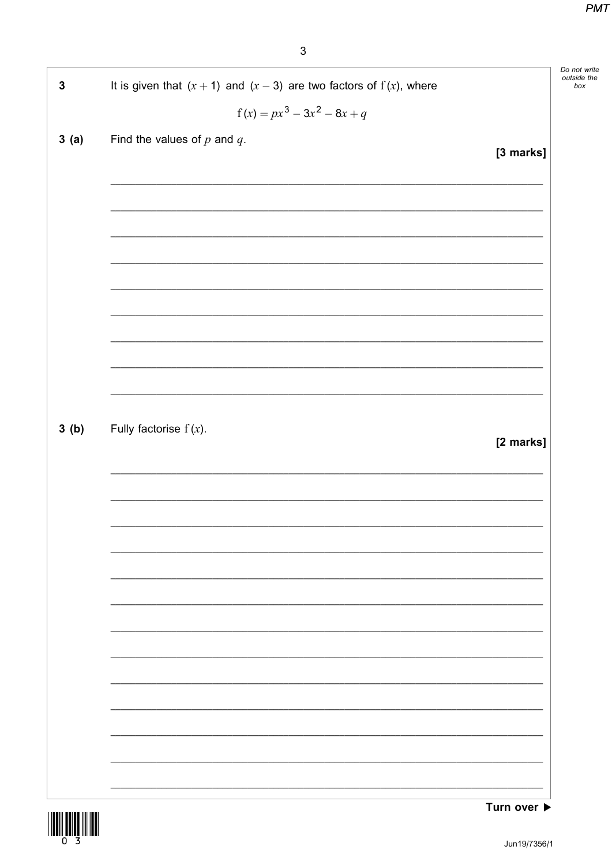| $\mathbf 3$ | It is given that $(x + 1)$ and $(x - 3)$ are two factors of $f(x)$ , where |           | Do not write<br>outside the<br>box |
|-------------|----------------------------------------------------------------------------|-----------|------------------------------------|
|             | $f(x) = px^{3} - 3x^{2} - 8x + q$                                          |           |                                    |
| 3(a)        | Find the values of $p$ and $q$ .                                           |           |                                    |
|             |                                                                            | [3 marks] |                                    |
|             |                                                                            |           |                                    |
|             |                                                                            |           |                                    |
|             |                                                                            |           |                                    |
|             |                                                                            |           |                                    |
|             |                                                                            |           |                                    |
|             |                                                                            |           |                                    |
|             |                                                                            |           |                                    |
|             |                                                                            |           |                                    |
| 3(b)        | Fully factorise $f(x)$ .                                                   |           |                                    |
|             |                                                                            | [2 marks] |                                    |
|             |                                                                            |           |                                    |
|             |                                                                            |           |                                    |
|             |                                                                            |           |                                    |
|             |                                                                            |           |                                    |
|             |                                                                            |           |                                    |
|             |                                                                            |           |                                    |
|             |                                                                            |           |                                    |
|             |                                                                            |           |                                    |
|             |                                                                            |           |                                    |
|             |                                                                            |           |                                    |
|             |                                                                            |           |                                    |
|             |                                                                            |           |                                    |



Turn over ▶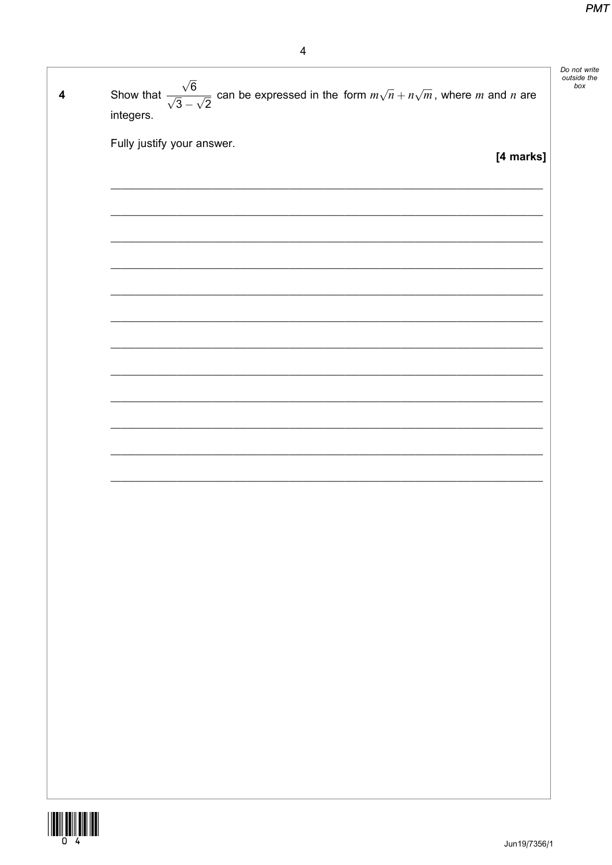| $\overline{\mathbf{4}}$ | Show that $\frac{\sqrt{6}}{\sqrt{3}-\sqrt{2}}$ can be expressed in the form $m\sqrt{n}+n\sqrt{m}$ , where <i>m</i> and <i>n</i> are<br>integers. | Do not write<br>outside the<br>box |
|-------------------------|--------------------------------------------------------------------------------------------------------------------------------------------------|------------------------------------|
|                         | Fully justify your answer.<br>[4 marks]                                                                                                          |                                    |
|                         |                                                                                                                                                  |                                    |
|                         |                                                                                                                                                  |                                    |
|                         |                                                                                                                                                  |                                    |
|                         |                                                                                                                                                  |                                    |
|                         |                                                                                                                                                  |                                    |
|                         |                                                                                                                                                  |                                    |
|                         |                                                                                                                                                  |                                    |
|                         |                                                                                                                                                  |                                    |
|                         |                                                                                                                                                  |                                    |
|                         |                                                                                                                                                  |                                    |
|                         |                                                                                                                                                  |                                    |
|                         |                                                                                                                                                  |                                    |
|                         |                                                                                                                                                  |                                    |
| .                       |                                                                                                                                                  |                                    |

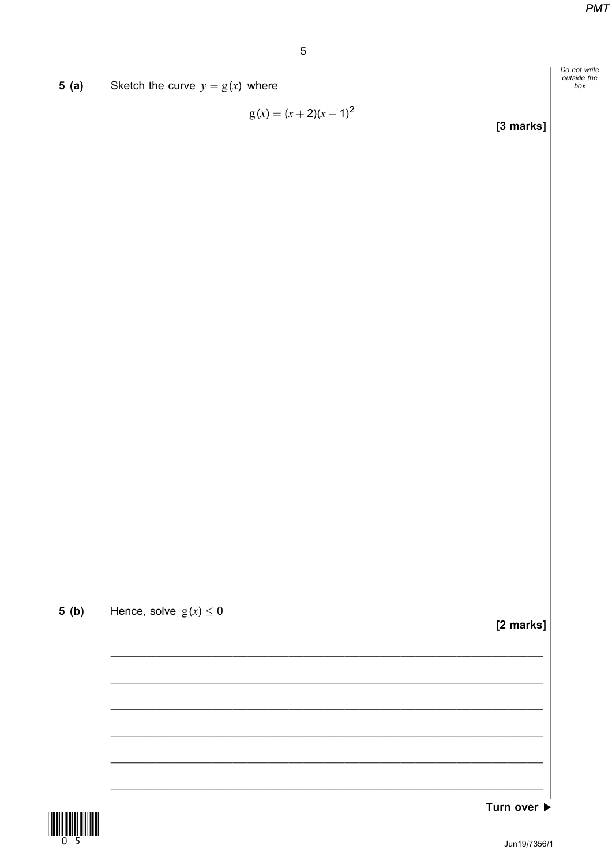Do not write<br>outside the

 $box$ 





Turn over ▶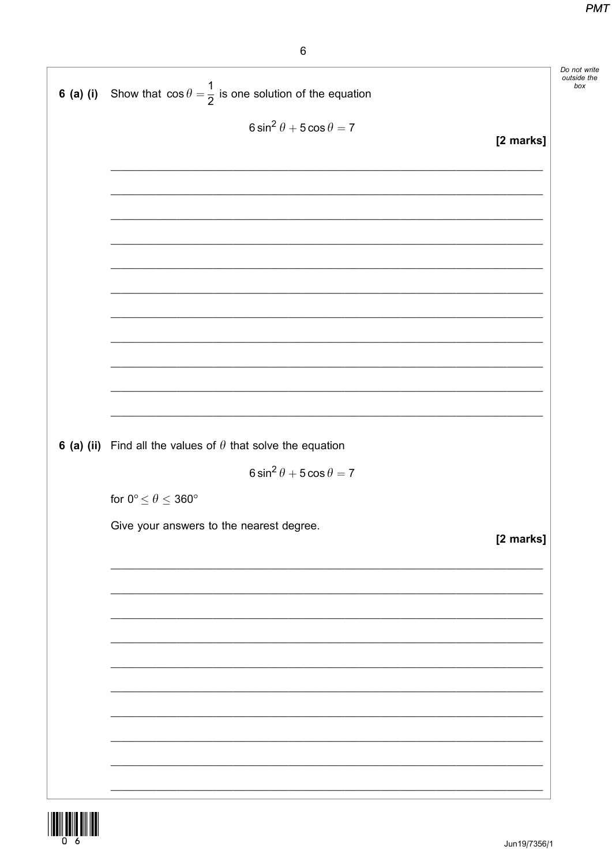|             |                                                                           | Do not write<br>outside the<br>box |
|-------------|---------------------------------------------------------------------------|------------------------------------|
| $6$ (a) (i) | Show that $\cos \theta = \frac{1}{2}$ is one solution of the equation     |                                    |
|             | $6\sin^2\theta + 5\cos\theta = 7$                                         |                                    |
|             | [2 marks]                                                                 |                                    |
|             |                                                                           |                                    |
|             |                                                                           |                                    |
|             |                                                                           |                                    |
|             |                                                                           |                                    |
|             |                                                                           |                                    |
|             |                                                                           |                                    |
|             |                                                                           |                                    |
|             |                                                                           |                                    |
|             |                                                                           |                                    |
|             |                                                                           |                                    |
|             | <b>6 (a) (ii)</b> Find all the values of $\theta$ that solve the equation |                                    |
|             | $6 \sin^2 \theta + 5 \cos \theta = 7$                                     |                                    |
|             | for $0^{\circ} \le \theta \le 360^{\circ}$                                |                                    |
|             | Give your answers to the nearest degree.                                  |                                    |
|             | [2 marks]                                                                 |                                    |
|             |                                                                           |                                    |
|             |                                                                           |                                    |
|             |                                                                           |                                    |
|             |                                                                           |                                    |
|             |                                                                           |                                    |
|             |                                                                           |                                    |
|             |                                                                           |                                    |
|             |                                                                           |                                    |
|             |                                                                           |                                    |

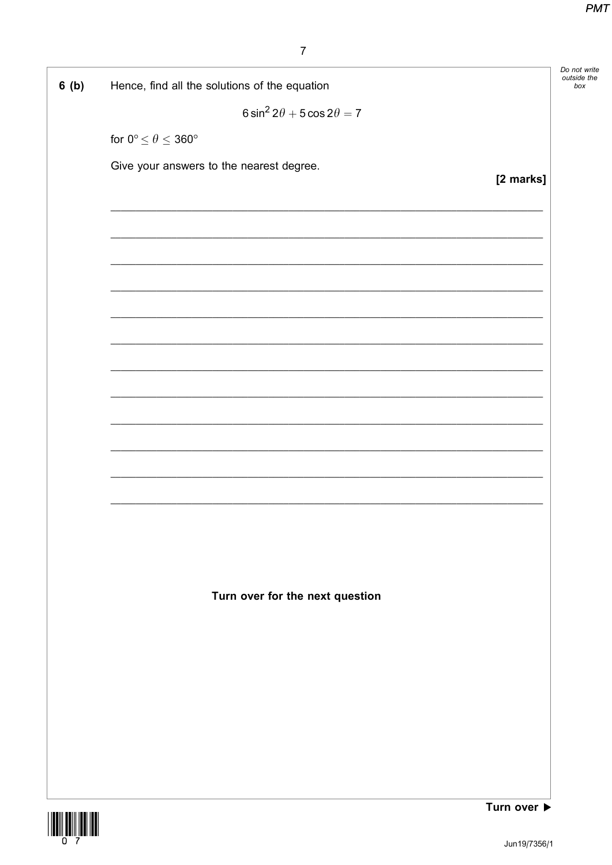| 6(b) | Hence, find all the solutions of the equation | Do not write<br>outside the<br>box |
|------|-----------------------------------------------|------------------------------------|
|      | $6 \sin^2 2\theta + 5 \cos 2\theta = 7$       |                                    |
|      | for $0^{\circ} \le \theta \le 360^{\circ}$    |                                    |
|      | Give your answers to the nearest degree.      |                                    |
|      | [2 marks]                                     |                                    |
|      |                                               |                                    |
|      |                                               |                                    |
|      |                                               |                                    |
|      |                                               |                                    |
|      |                                               |                                    |
|      |                                               |                                    |
|      |                                               |                                    |
|      |                                               |                                    |
|      |                                               |                                    |
|      |                                               |                                    |
|      |                                               |                                    |
|      |                                               |                                    |
|      |                                               |                                    |
|      |                                               |                                    |
|      | Turn over for the next question               |                                    |
|      |                                               |                                    |
|      |                                               |                                    |
|      |                                               |                                    |
|      |                                               |                                    |
|      |                                               |                                    |
|      |                                               |                                    |
|      |                                               |                                    |

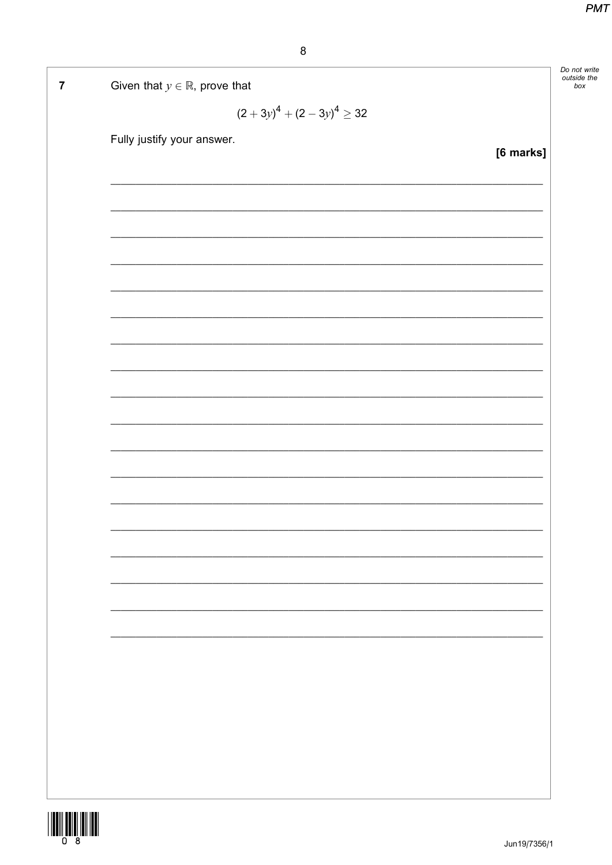| Given that $y \in \mathbb{R}$ , prove that | Do not write<br>outside the<br>box |
|--------------------------------------------|------------------------------------|
| $(2+3y)^4 + (2-3y)^4 \ge 32$               |                                    |
| Fully justify your answer.<br>[6 marks]    |                                    |
|                                            |                                    |
|                                            |                                    |
|                                            |                                    |
|                                            |                                    |
|                                            |                                    |
|                                            |                                    |
|                                            |                                    |
|                                            |                                    |
|                                            |                                    |
|                                            |                                    |
|                                            |                                    |
|                                            |                                    |
|                                            |                                    |
|                                            |                                    |
|                                            |                                    |
|                                            |                                    |
|                                            |                                    |
|                                            |                                    |
|                                            |                                    |
|                                            |                                    |
|                                            |                                    |
|                                            |                                    |

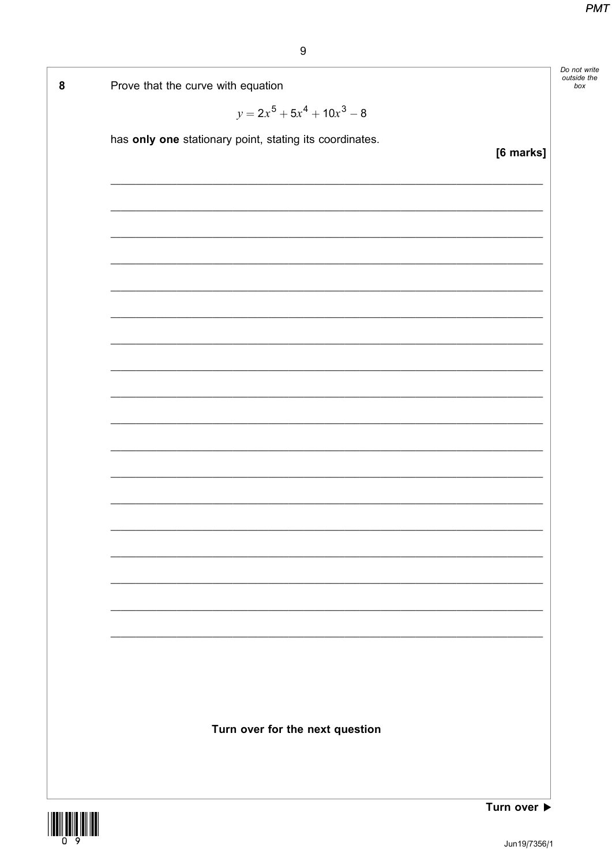Do not write<br>outside the

 $box$ 



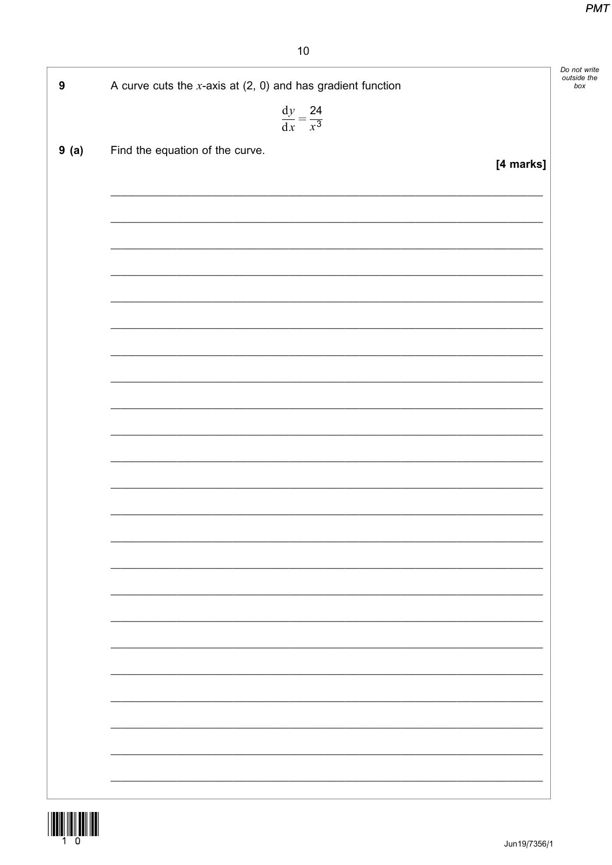| $\boldsymbol{9}$ | A curve cuts the $x$ -axis at $(2, 0)$ and has gradient function |           |
|------------------|------------------------------------------------------------------|-----------|
|                  |                                                                  |           |
|                  | $\frac{\mathrm{d}y}{\mathrm{d}x} = \frac{24}{x^3}$               |           |
| 9(a)             | Find the equation of the curve.                                  |           |
|                  |                                                                  | [4 marks] |
|                  |                                                                  |           |
|                  |                                                                  |           |
|                  |                                                                  |           |
|                  |                                                                  |           |
|                  |                                                                  |           |
|                  |                                                                  |           |
|                  |                                                                  |           |
|                  |                                                                  |           |
|                  |                                                                  |           |
|                  |                                                                  |           |
|                  |                                                                  |           |
|                  |                                                                  |           |
|                  |                                                                  |           |
|                  |                                                                  |           |
|                  |                                                                  |           |
|                  |                                                                  |           |
|                  |                                                                  |           |
|                  |                                                                  |           |
|                  |                                                                  |           |
|                  |                                                                  |           |
|                  |                                                                  |           |
|                  |                                                                  |           |
|                  |                                                                  |           |
|                  |                                                                  |           |
|                  |                                                                  |           |
|                  |                                                                  |           |
|                  |                                                                  |           |
|                  |                                                                  |           |
|                  |                                                                  |           |
|                  |                                                                  |           |
|                  |                                                                  |           |
|                  |                                                                  |           |

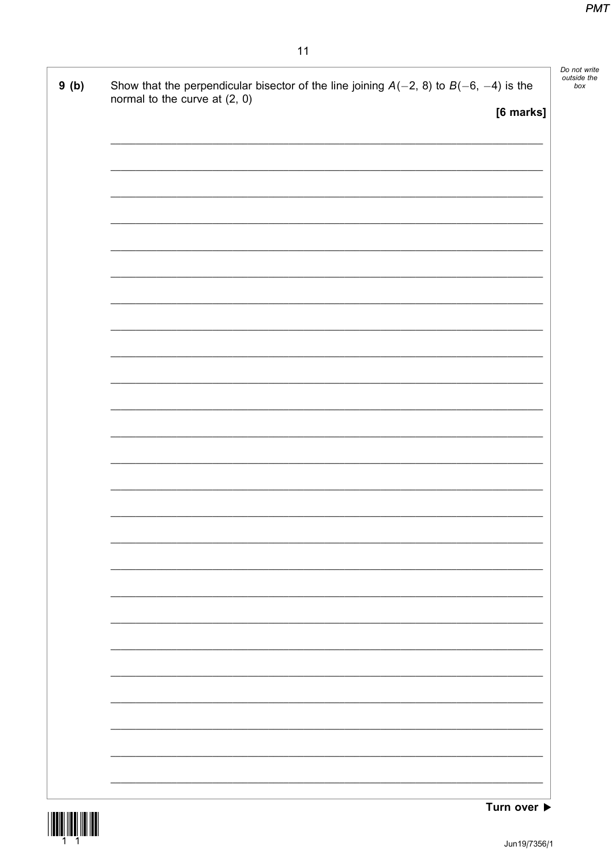| Show that the perpendicular bisector of the line joining $A(-2, 8)$ to $B(-6, -4)$ is the<br>9(b) |           |
|---------------------------------------------------------------------------------------------------|-----------|
| normal to the curve at (2, 0)                                                                     | [6 marks] |
|                                                                                                   |           |
|                                                                                                   |           |
|                                                                                                   |           |
|                                                                                                   |           |
|                                                                                                   |           |
|                                                                                                   |           |
|                                                                                                   |           |
|                                                                                                   |           |
|                                                                                                   |           |
|                                                                                                   |           |
|                                                                                                   |           |
|                                                                                                   |           |
|                                                                                                   |           |
|                                                                                                   |           |
|                                                                                                   |           |
|                                                                                                   |           |
|                                                                                                   |           |
|                                                                                                   |           |
|                                                                                                   |           |
|                                                                                                   |           |
|                                                                                                   |           |
|                                                                                                   |           |
|                                                                                                   |           |
|                                                                                                   |           |
|                                                                                                   |           |
|                                                                                                   |           |
|                                                                                                   |           |
|                                                                                                   |           |
|                                                                                                   |           |
|                                                                                                   |           |
|                                                                                                   |           |
|                                                                                                   |           |

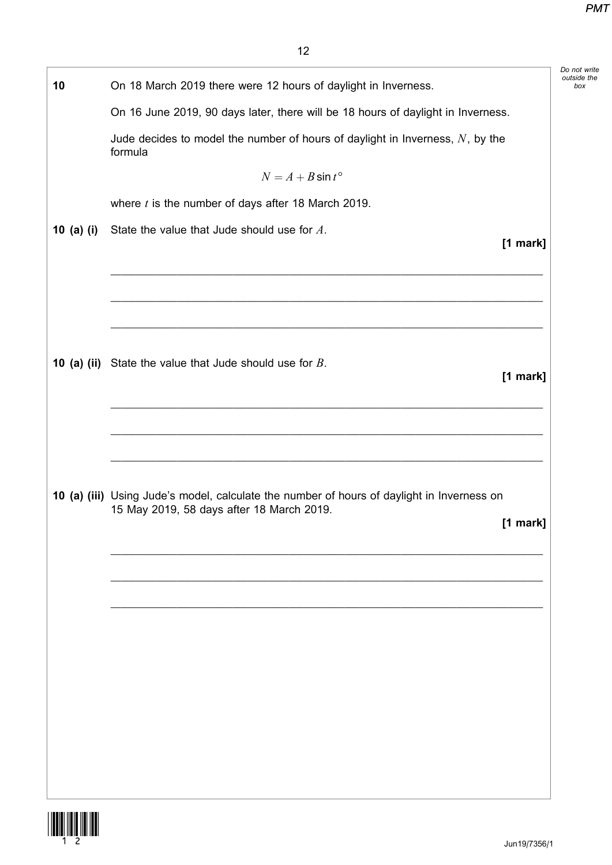| 10           | On 18 March 2019 there were 12 hours of daylight in Inverness.                              |
|--------------|---------------------------------------------------------------------------------------------|
|              | On 16 June 2019, 90 days later, there will be 18 hours of daylight in Inverness.            |
|              | Jude decides to model the number of hours of daylight in Inverness, $N$ , by the<br>formula |
|              | $N = A + B \sin t^{\circ}$                                                                  |
|              | where $t$ is the number of days after 18 March 2019.                                        |
| 10 $(a)$ (i) | State the value that Jude should use for A.<br>[1 mark]                                     |
|              |                                                                                             |
|              | <b>10 (a) (ii)</b> State the value that Jude should use for $B$ .<br>[1 mark]               |
|              |                                                                                             |
|              |                                                                                             |
|              | 10 (a) (iii) Using Jude's model, calculate the number of hours of daylight in Inverness on  |
|              | 15 May 2019, 58 days after 18 March 2019.<br>$[1$ mark]                                     |
|              |                                                                                             |
|              |                                                                                             |
|              |                                                                                             |
|              |                                                                                             |
|              |                                                                                             |
|              |                                                                                             |
|              |                                                                                             |
|              |                                                                                             |

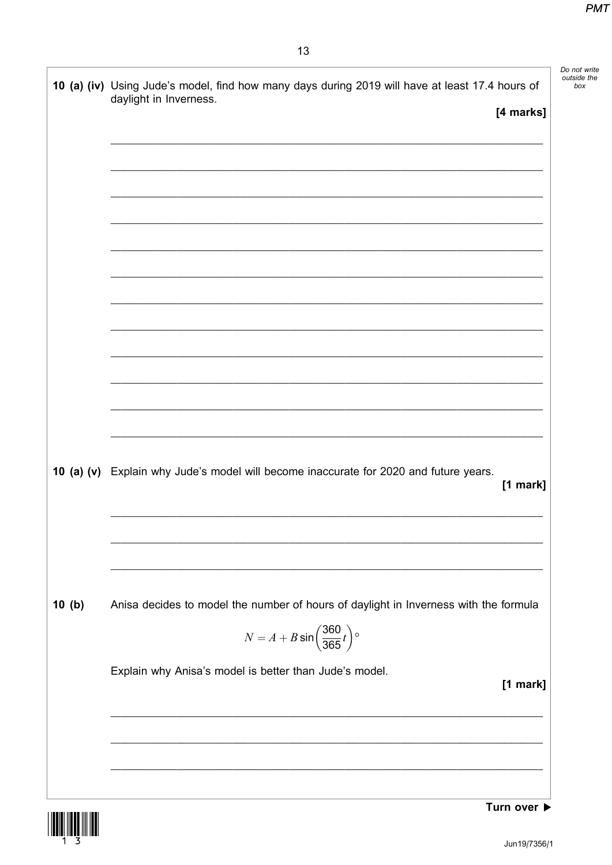|       | 10 (a) (iv) Using Jude's model, find how many days during 2019 will have at least 17.4 hours of<br>daylight in Inverness.<br>[4 marks] |
|-------|----------------------------------------------------------------------------------------------------------------------------------------|
|       |                                                                                                                                        |
|       |                                                                                                                                        |
|       |                                                                                                                                        |
|       |                                                                                                                                        |
|       |                                                                                                                                        |
|       |                                                                                                                                        |
|       |                                                                                                                                        |
|       |                                                                                                                                        |
|       | 10 (a) (v) Explain why Jude's model will become inaccurate for 2020 and future years.<br>$[1$ mark]                                    |
|       |                                                                                                                                        |
|       | Anisa decides to model the number of hours of daylight in Inverness with the formula                                                   |
| 10(b) | $N = A + B \sin \left( \frac{360}{365} t \right)$ °<br>Explain why Anisa's model is better than Jude's model.                          |

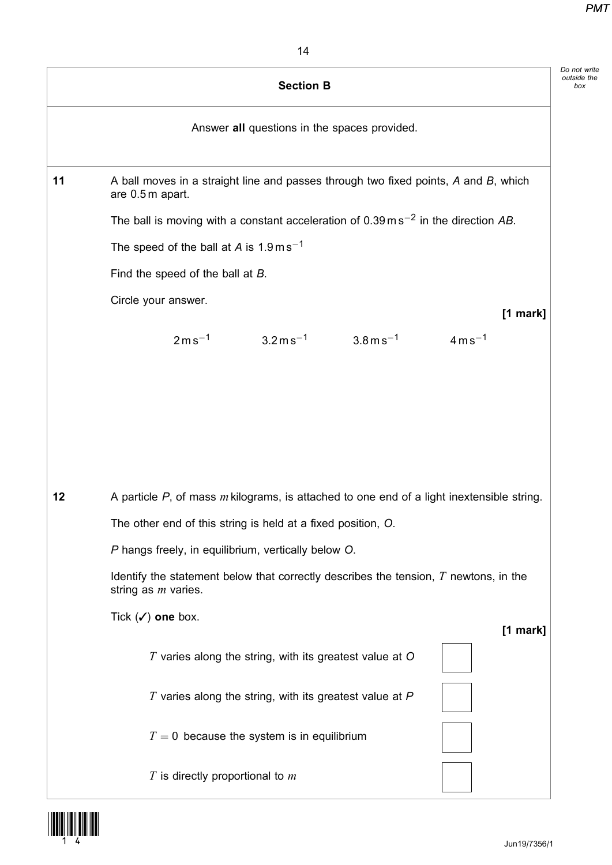|    | <b>Section B</b>                                                                                                              |
|----|-------------------------------------------------------------------------------------------------------------------------------|
|    | Answer all questions in the spaces provided.                                                                                  |
| 11 | A ball moves in a straight line and passes through two fixed points, A and B, which<br>are 0.5 m apart.                       |
|    | The ball is moving with a constant acceleration of $0.39 \text{ m s}^{-2}$ in the direction AB.                               |
|    | The speed of the ball at A is $1.9 \text{ m s}^{-1}$                                                                          |
|    | Find the speed of the ball at B.                                                                                              |
|    | Circle your answer.<br>$[1$ mark]                                                                                             |
|    | $2ms^{-1}$<br>$3.2 \,\mathrm{m}\,\mathrm{s}^{-1}$<br>$4 \,\mathrm{m}\,\mathrm{s}^{-1}$<br>$3.8 \,\mathrm{m}\,\mathrm{s}^{-1}$ |
| 12 | A particle $P$ , of mass $m$ kilograms, is attached to one end of a light inextensible string.                                |
|    | The other end of this string is held at a fixed position, O.                                                                  |
|    | P hangs freely, in equilibrium, vertically below O.                                                                           |
|    | Identify the statement below that correctly describes the tension, $T$ newtons, in the<br>string as <i>m</i> varies.          |
|    | Tick $(\checkmark)$ one box.<br>[1 mark]                                                                                      |
|    | $T$ varies along the string, with its greatest value at $O$                                                                   |
|    | $T$ varies along the string, with its greatest value at $P$                                                                   |
|    | $T = 0$ because the system is in equilibrium                                                                                  |
|    | $T$ is directly proportional to $m$                                                                                           |

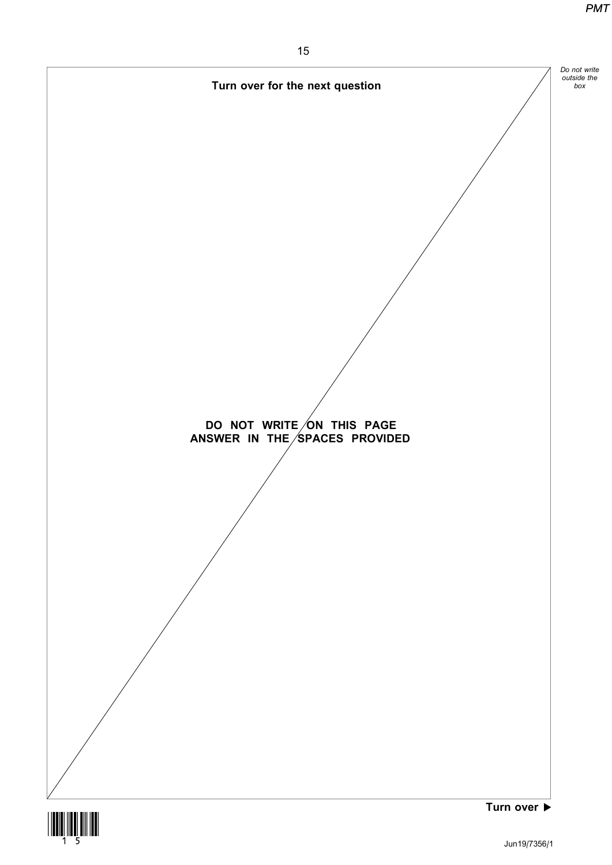

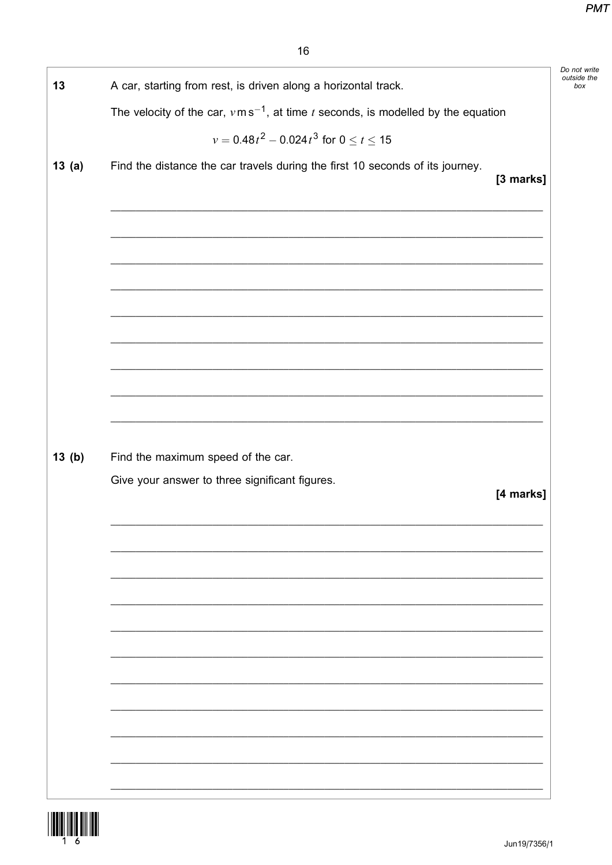| 13    | A car, starting from rest, is driven along a horizontal track.                                |           |
|-------|-----------------------------------------------------------------------------------------------|-----------|
|       | The velocity of the car, $v \text{m s}^{-1}$ , at time t seconds, is modelled by the equation |           |
|       | $v = 0.48t^2 - 0.024t^3$ for $0 \le t \le 15$                                                 |           |
| 13(a) | Find the distance the car travels during the first 10 seconds of its journey.                 |           |
|       |                                                                                               | [3 marks] |
|       |                                                                                               |           |
|       |                                                                                               |           |
|       |                                                                                               |           |
|       |                                                                                               |           |
|       |                                                                                               |           |
|       |                                                                                               |           |
|       |                                                                                               |           |
|       |                                                                                               |           |
|       |                                                                                               |           |
|       |                                                                                               |           |
| 13(b) | Find the maximum speed of the car.                                                            |           |
|       | Give your answer to three significant figures.                                                |           |
|       |                                                                                               | [4 marks] |
|       |                                                                                               |           |
|       |                                                                                               |           |
|       |                                                                                               |           |
|       |                                                                                               |           |
|       |                                                                                               |           |
|       |                                                                                               |           |
|       |                                                                                               |           |
|       |                                                                                               |           |
|       |                                                                                               |           |
|       |                                                                                               |           |
|       |                                                                                               |           |
|       |                                                                                               |           |

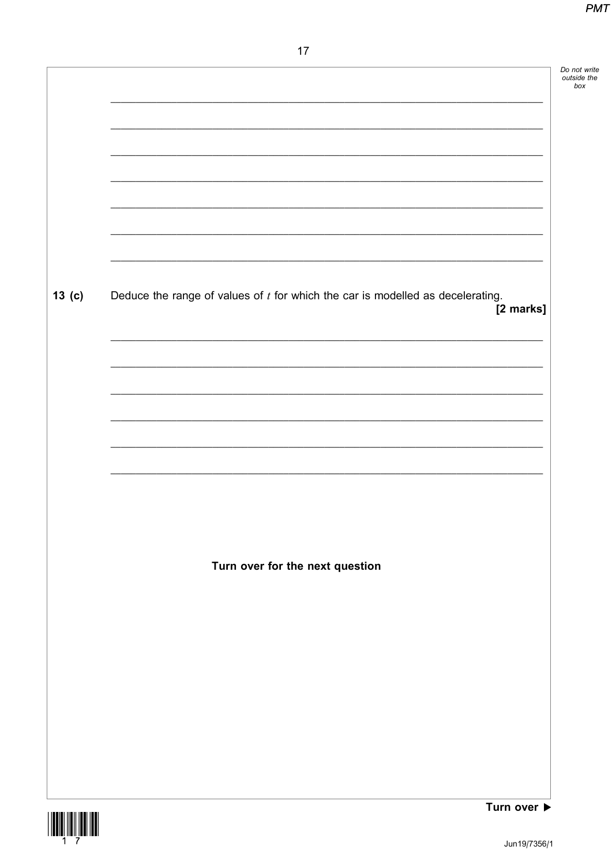|                   |                                                                                               | Do not write<br>outside the<br>box |
|-------------------|-----------------------------------------------------------------------------------------------|------------------------------------|
|                   |                                                                                               |                                    |
|                   |                                                                                               |                                    |
|                   |                                                                                               |                                    |
|                   |                                                                                               |                                    |
|                   |                                                                                               |                                    |
| 13 <sub>(c)</sub> | Deduce the range of values of $t$ for which the car is modelled as decelerating.<br>[2 marks] |                                    |
|                   |                                                                                               |                                    |
|                   |                                                                                               |                                    |
|                   |                                                                                               |                                    |
|                   |                                                                                               |                                    |
|                   |                                                                                               |                                    |
|                   |                                                                                               |                                    |
|                   |                                                                                               |                                    |
|                   | Turn over for the next question                                                               |                                    |
|                   |                                                                                               |                                    |
|                   |                                                                                               |                                    |
|                   |                                                                                               |                                    |
|                   |                                                                                               |                                    |
|                   |                                                                                               |                                    |
|                   |                                                                                               |                                    |

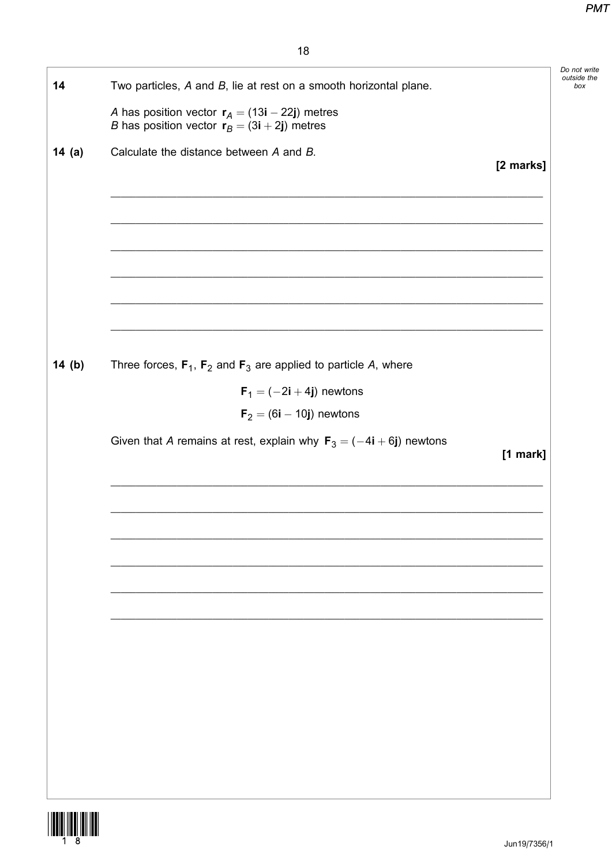| 14    | Two particles, $A$ and $B$ , lie at rest on a smooth horizontal plane.                                    |           | Do not write<br>outside the<br>box |
|-------|-----------------------------------------------------------------------------------------------------------|-----------|------------------------------------|
|       | A has position vector $r_A = (13i - 22j)$ metres<br><i>B</i> has position vector $r_B = (3i + 2j)$ metres |           |                                    |
| 14(a) | Calculate the distance between A and B.                                                                   | [2 marks] |                                    |
|       |                                                                                                           |           |                                    |
|       |                                                                                                           |           |                                    |
|       |                                                                                                           |           |                                    |
|       |                                                                                                           |           |                                    |
| 14(b) | Three forces, $F_1$ , $F_2$ and $F_3$ are applied to particle A, where                                    |           |                                    |
|       | $F_1 = (-2i + 4j)$ newtons                                                                                |           |                                    |
|       | $F_2 = (6i - 10j)$ newtons                                                                                |           |                                    |
|       | Given that A remains at rest, explain why $F_3 = (-4i + 6j)$ newtons                                      | [1 mark]  |                                    |
|       |                                                                                                           |           |                                    |
|       |                                                                                                           |           |                                    |
|       |                                                                                                           |           |                                    |
|       |                                                                                                           |           |                                    |
|       |                                                                                                           |           |                                    |
|       |                                                                                                           |           |                                    |
|       |                                                                                                           |           |                                    |
|       |                                                                                                           |           |                                    |
|       |                                                                                                           |           |                                    |

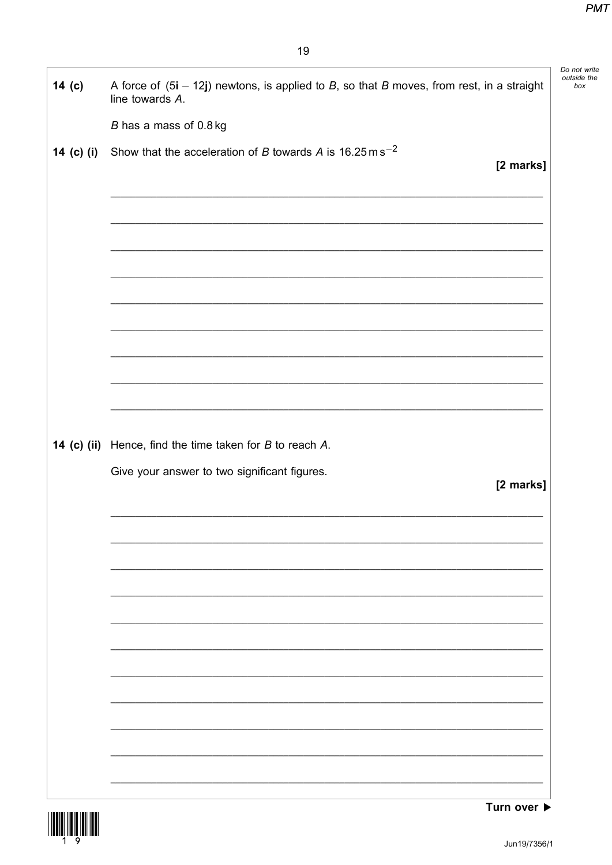| 14 <sub>(c)</sub> | A force of $(5i - 12j)$ newtons, is applied to B, so that B moves, from rest, in a straight |
|-------------------|---------------------------------------------------------------------------------------------|
|                   | line towards A.                                                                             |
|                   | B has a mass of 0.8 kg                                                                      |
| 14 (c) (i)        | Show that the acceleration of B towards A is 16.25 m s <sup>-2</sup><br>[2 marks]           |
|                   |                                                                                             |
|                   |                                                                                             |
|                   |                                                                                             |
|                   |                                                                                             |
|                   |                                                                                             |
|                   |                                                                                             |
|                   |                                                                                             |
|                   |                                                                                             |
|                   |                                                                                             |
|                   | <b>14 (c) (ii)</b> Hence, find the time taken for $B$ to reach $A$ .                        |
|                   |                                                                                             |
|                   | Give your answer to two significant figures.                                                |
|                   | [2 marks]                                                                                   |
|                   |                                                                                             |
|                   |                                                                                             |
|                   |                                                                                             |
|                   |                                                                                             |
|                   |                                                                                             |
|                   |                                                                                             |
|                   |                                                                                             |
|                   |                                                                                             |
|                   |                                                                                             |
|                   |                                                                                             |



Turn over ▶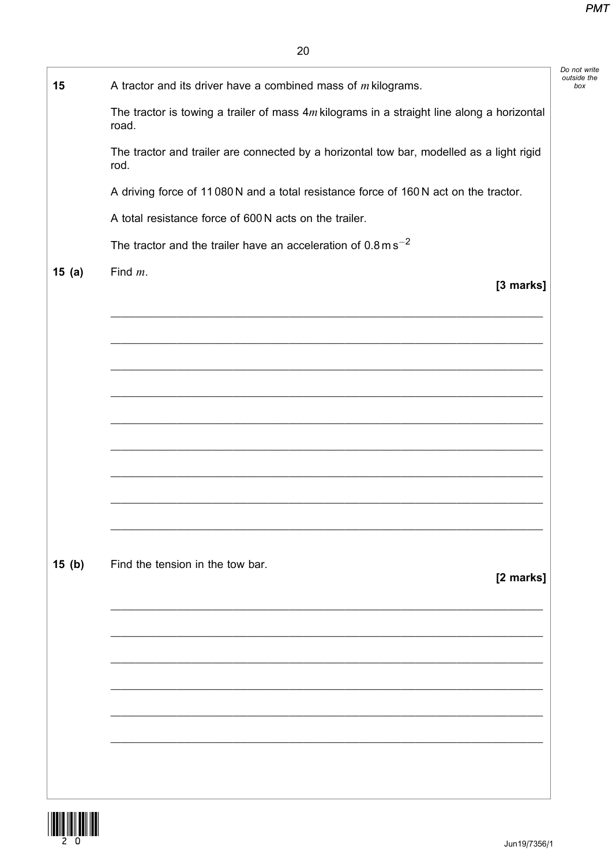| 15    | A tractor and its driver have a combined mass of $m$ kilograms.                                       |
|-------|-------------------------------------------------------------------------------------------------------|
|       | The tractor is towing a trailer of mass $4m$ kilograms in a straight line along a horizontal<br>road. |
|       | The tractor and trailer are connected by a horizontal tow bar, modelled as a light rigid<br>rod.      |
|       | A driving force of 11080N and a total resistance force of 160N act on the tractor.                    |
|       | A total resistance force of 600 N acts on the trailer.                                                |
|       | The tractor and the trailer have an acceleration of $0.8 \text{ m s}^{-2}$                            |
| 15(a) | Find $m$ .<br>[3 marks]                                                                               |
|       |                                                                                                       |
|       |                                                                                                       |
|       |                                                                                                       |
|       |                                                                                                       |
|       |                                                                                                       |
|       |                                                                                                       |
|       |                                                                                                       |
|       |                                                                                                       |
|       |                                                                                                       |
| 15(b) | Find the tension in the tow bar.<br>[2 marks]                                                         |
|       |                                                                                                       |
|       |                                                                                                       |
|       |                                                                                                       |
|       |                                                                                                       |
|       |                                                                                                       |
|       |                                                                                                       |
|       |                                                                                                       |
|       |                                                                                                       |

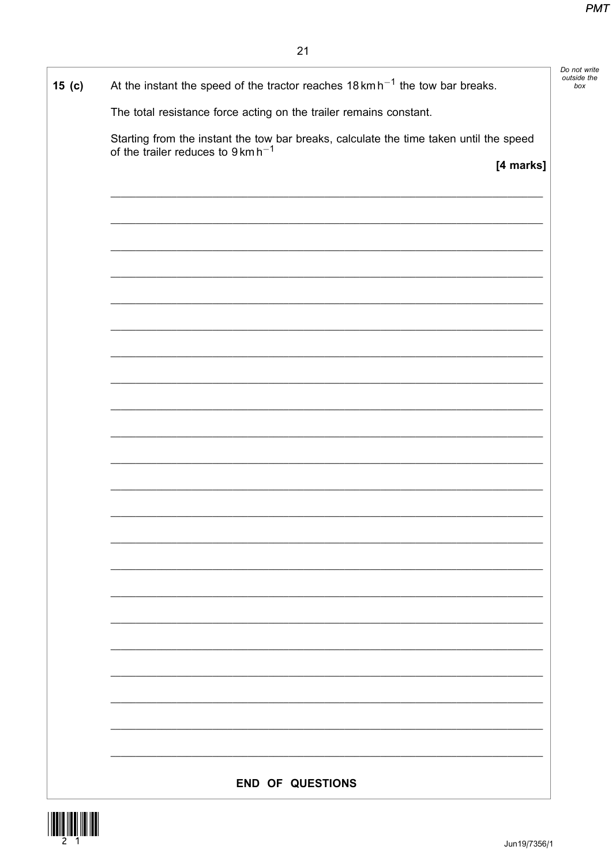| $15$ (c) | At the instant the speed of the tractor reaches $18 \text{ km h}^{-1}$ the tow bar breaks.                                             | Do not write<br>outside the<br>box |
|----------|----------------------------------------------------------------------------------------------------------------------------------------|------------------------------------|
|          | The total resistance force acting on the trailer remains constant.                                                                     |                                    |
|          | Starting from the instant the tow bar breaks, calculate the time taken until the speed of the trailer reduces to $9 \text{ km h}^{-1}$ |                                    |
|          | [4 marks]                                                                                                                              |                                    |
|          |                                                                                                                                        |                                    |
|          |                                                                                                                                        |                                    |
|          |                                                                                                                                        |                                    |
|          |                                                                                                                                        |                                    |
|          |                                                                                                                                        |                                    |
|          |                                                                                                                                        |                                    |
|          |                                                                                                                                        |                                    |
|          |                                                                                                                                        |                                    |
|          |                                                                                                                                        |                                    |
|          |                                                                                                                                        |                                    |
|          |                                                                                                                                        |                                    |
|          |                                                                                                                                        |                                    |
|          |                                                                                                                                        |                                    |
|          |                                                                                                                                        |                                    |
|          |                                                                                                                                        |                                    |
|          |                                                                                                                                        |                                    |
|          |                                                                                                                                        |                                    |
|          |                                                                                                                                        |                                    |
|          |                                                                                                                                        |                                    |
|          | <b>END OF QUESTIONS</b>                                                                                                                |                                    |

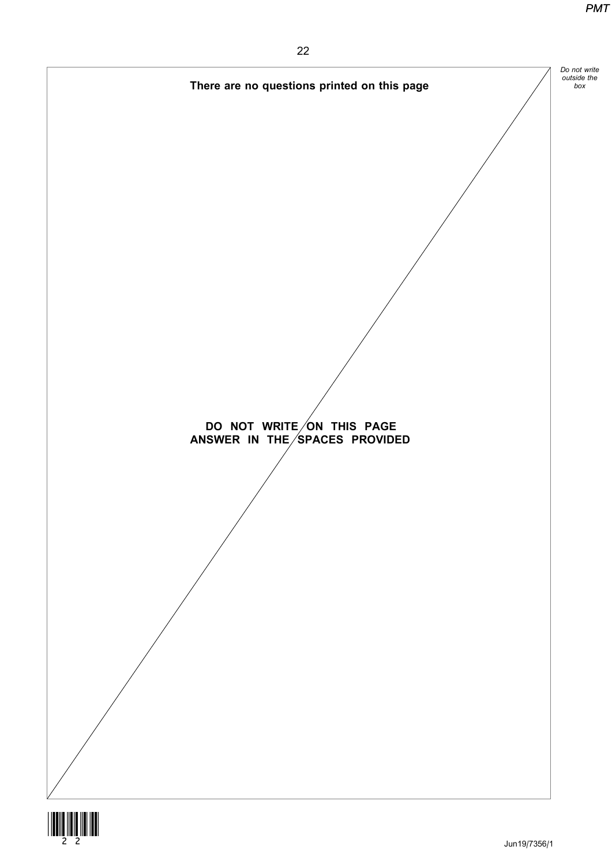



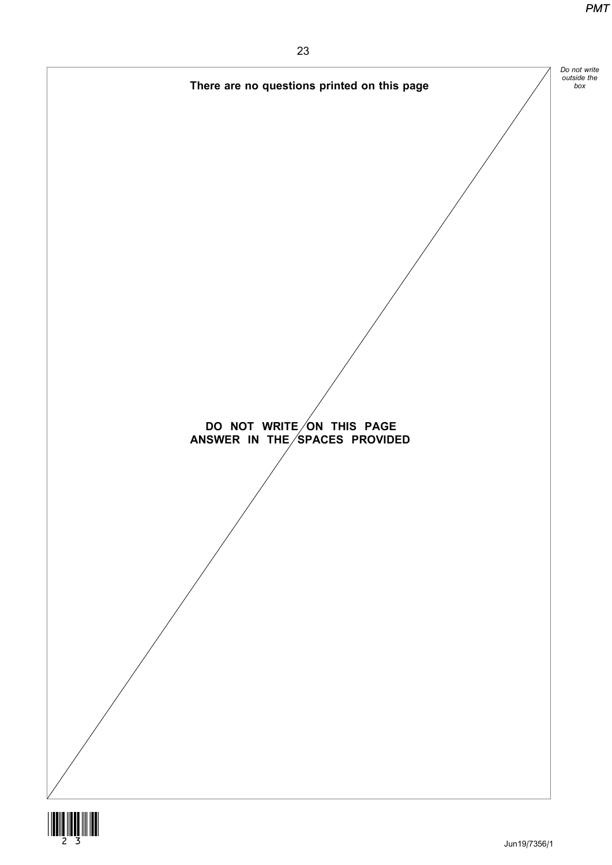